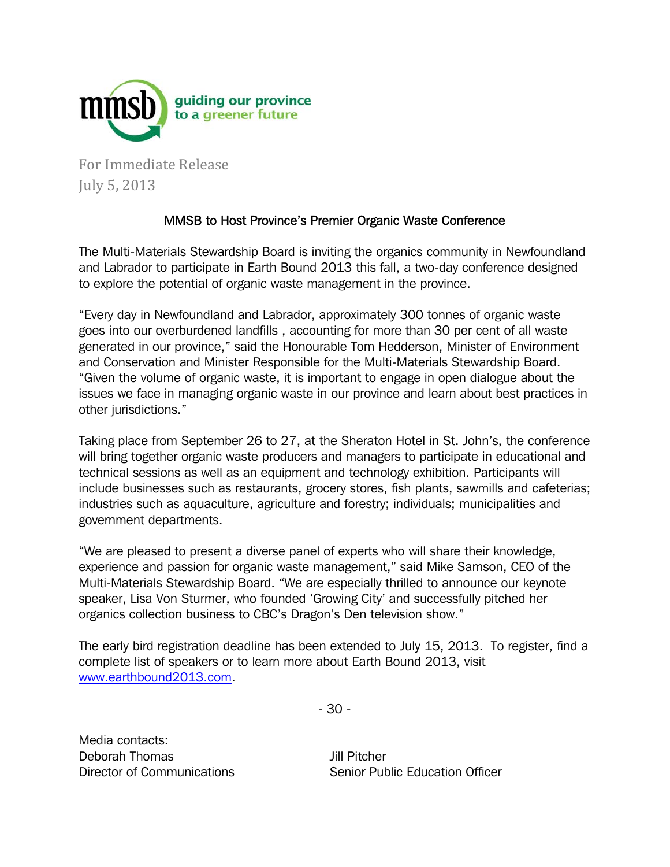

For Immediate Release July 5, 2013 

## MMSB to Host Province's Premier Organic Waste Conference

The Multi-Materials Stewardship Board is inviting the organics community in Newfoundland and Labrador to participate in Earth Bound 2013 this fall, a two-day conference designed to explore the potential of organic waste management in the province.

"Every day in Newfoundland and Labrador, approximately 300 tonnes of organic waste goes into our overburdened landfills , accounting for more than 30 per cent of all waste generated in our province," said the Honourable Tom Hedderson, Minister of Environment and Conservation and Minister Responsible for the Multi-Materials Stewardship Board. "Given the volume of organic waste, it is important to engage in open dialogue about the issues we face in managing organic waste in our province and learn about best practices in other jurisdictions."

Taking place from September 26 to 27, at the Sheraton Hotel in St. John's, the conference will bring together organic waste producers and managers to participate in educational and technical sessions as well as an equipment and technology exhibition. Participants will include businesses such as restaurants, grocery stores, fish plants, sawmills and cafeterias; industries such as aquaculture, agriculture and forestry; individuals; municipalities and government departments.

"We are pleased to present a diverse panel of experts who will share their knowledge, experience and passion for organic waste management," said Mike Samson, CEO of the Multi-Materials Stewardship Board. "We are especially thrilled to announce our keynote speaker, Lisa Von Sturmer, who founded 'Growing City' and successfully pitched her organics collection business to CBC's Dragon's Den television show."

The early bird registration deadline has been extended to July 15, 2013. To register, find a complete list of speakers or to learn more about Earth Bound 2013, visit www.earthbound2013.com.

- 30 -

Media contacts: Deborah Thomas Director of Communications

Jill Pitcher Senior Public Education Officer